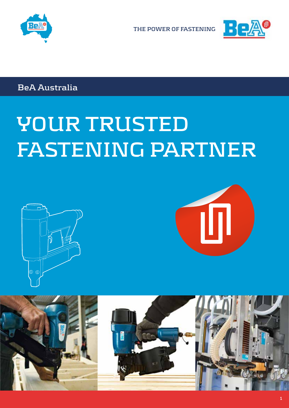



**BeA Australia** 

# **YOUR TRUSTED FASTENING PARTNER**





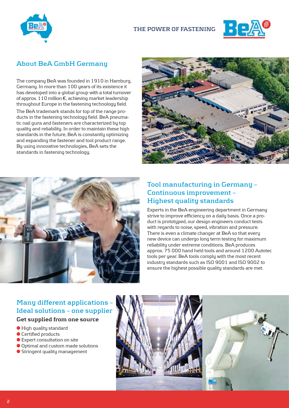



## **About BeA GmbH Germany**

The company BeA was founded in 1910 in Hamburg, Germany. In more than 100 years of its existence it has developed into a global group with a total turnover of approx. 110 million €, achieving market leadership throughout Europe in the fastening technology field.

The BeA trademark stands for top of the range products in the fastening technology field. BeA pneumatic nail guns and fasteners are characterized by top quality and reliability. In order to maintain these high standards in the future, BeA is constantly optimizing and expanding the fastener and tool product range. By using innovative technologies, BeA sets the standards in fastening technology.





## **Tool manufacturing in Germany – Continuous improvement – Highest quality standards**

Experts in the BeA engineering department in Germany strive to improve efficiency on a daily basis. Once a product is prototyped, our design engineers conduct tests with regards to noise, speed, vibration and pressure. There is even a climate changer at BeA so that every new device can undergo long term testing for maximum reliability under extreme conditions. BeA produces approx. 75 000 hand held tools and around 1200 Autotec tools per year. BeA tools comply with the most recent industry standards such as ISO 9001 and ISO 9002 to ensure the highest possible quality standards are met.

## **Many different applications – Ideal solutions – one supplier**

## **Get supplied from one source**

- High quality standard
- Certified products
- Expert consultation on site
- Optimal and custom made solutions
- Stringent quality management



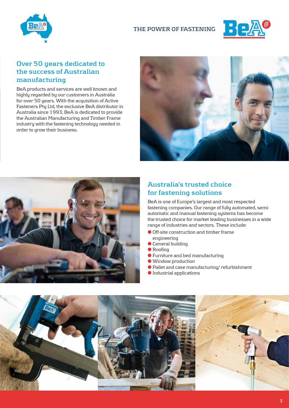



## **Over 50 years dedicated to the success of Australian manufacturing**

BeA products and services are well known and highly regarded by our customers in Australia for over 50 years. With the acquisition of Active Fasteners Pty Ltd, the exclusive BeA distributor in Australia since 1993, BeA is dedicated to provide the Australian Manufacturing and Timber Frame industry with the fastening technology needed in order to grow their business.





## **Australia's trusted choice for fastening solutions**

BeA is one of Europe's largest and most respected fastening companies. Our range of fully automated, semiautomatic and manual fastening systems has become the trusted choice for market leading businesses in a wide range of industries and sectors. These include:

- Off-site construction and timber frame engineering
- General building
- Roofing
- Furniture and bed manufacturing
- Window production
- Pallet and case manufacturing/ refurbishment
- Industrial applications